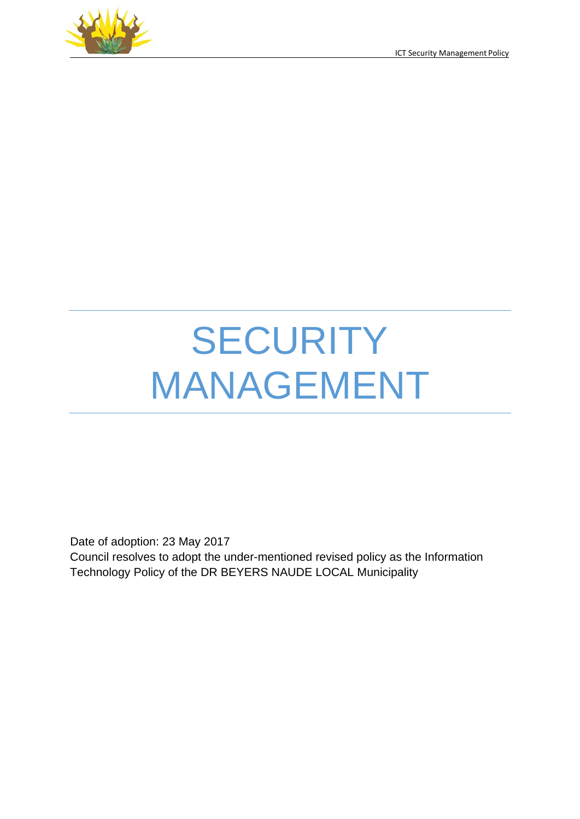

# **SECURITY** MANAGEMENT

Date of adoption: 23 May 2017 Council resolves to adopt the under-mentioned revised policy as the Information Technology Policy of the DR BEYERS NAUDE LOCAL Municipality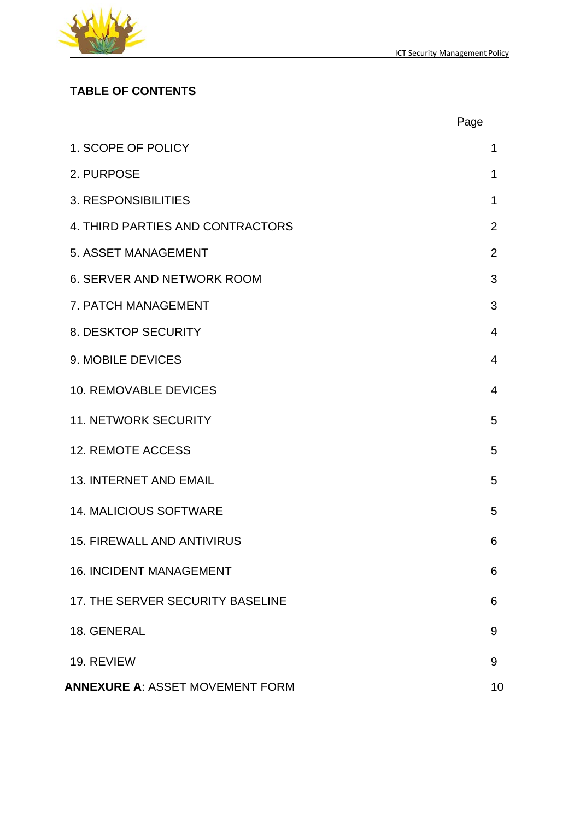

# **TABLE OF CONTENTS**

|                                        | Page           |
|----------------------------------------|----------------|
| 1. SCOPE OF POLICY                     | 1              |
| 2. PURPOSE                             | 1              |
| 3. RESPONSIBILITIES                    | 1              |
| 4. THIRD PARTIES AND CONTRACTORS       | $\overline{2}$ |
| 5. ASSET MANAGEMENT                    | $\overline{2}$ |
| <b>6. SERVER AND NETWORK ROOM</b>      | 3              |
| 7. PATCH MANAGEMENT                    | 3              |
| 8. DESKTOP SECURITY                    | $\overline{4}$ |
| 9. MOBILE DEVICES                      | $\overline{4}$ |
| <b>10. REMOVABLE DEVICES</b>           | $\overline{4}$ |
| <b>11. NETWORK SECURITY</b>            | 5              |
| <b>12. REMOTE ACCESS</b>               | 5              |
| <b>13. INTERNET AND EMAIL</b>          | 5              |
| <b>14. MALICIOUS SOFTWARE</b>          | 5              |
| <b>15. FIREWALL AND ANTIVIRUS</b>      | 6              |
| <b>16. INCIDENT MANAGEMENT</b>         | 6              |
| 17. THE SERVER SECURITY BASELINE       | 6              |
| 18. GENERAL                            | 9              |
| 19. REVIEW                             | 9              |
| <b>ANNEXURE A: ASSET MOVEMENT FORM</b> | 10             |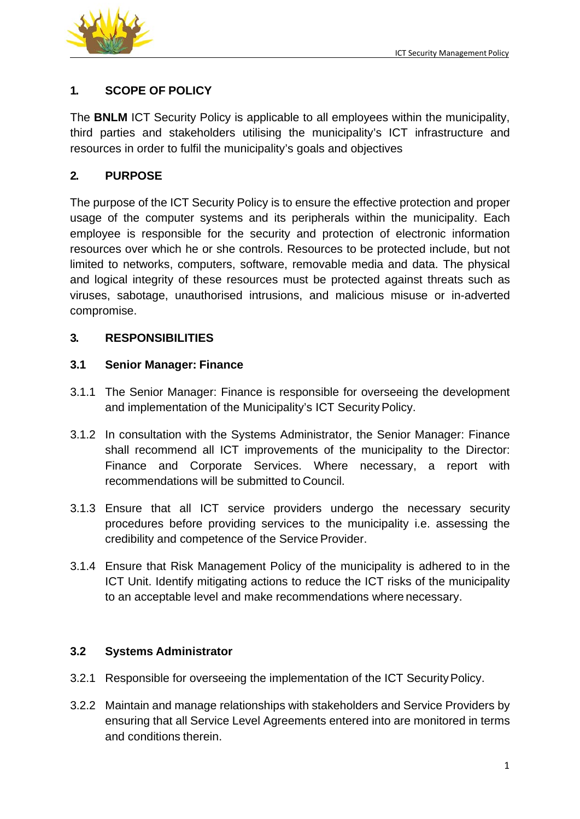

## **1. SCOPE OF POLICY**

The **BNLM** ICT Security Policy is applicable to all employees within the municipality, third parties and stakeholders utilising the municipality's ICT infrastructure and resources in order to fulfil the municipality's goals and objectives

#### **2. PURPOSE**

The purpose of the ICT Security Policy is to ensure the effective protection and proper usage of the computer systems and its peripherals within the municipality. Each employee is responsible for the security and protection of electronic information resources over which he or she controls. Resources to be protected include, but not limited to networks, computers, software, removable media and data. The physical and logical integrity of these resources must be protected against threats such as viruses, sabotage, unauthorised intrusions, and malicious misuse or in-adverted compromise.

#### **3. RESPONSIBILITIES**

#### **3.1 Senior Manager: Finance**

- 3.1.1 The Senior Manager: Finance is responsible for overseeing the development and implementation of the Municipality's ICT Security Policy.
- 3.1.2 In consultation with the Systems Administrator, the Senior Manager: Finance shall recommend all ICT improvements of the municipality to the Director: Finance and Corporate Services. Where necessary, a report with recommendations will be submitted to Council.
- 3.1.3 Ensure that all ICT service providers undergo the necessary security procedures before providing services to the municipality i.e. assessing the credibility and competence of the Service Provider.
- 3.1.4 Ensure that Risk Management Policy of the municipality is adhered to in the ICT Unit. Identify mitigating actions to reduce the ICT risks of the municipality to an acceptable level and make recommendations where necessary.

#### **3.2 Systems Administrator**

- 3.2.1 Responsible for overseeing the implementation of the ICT SecurityPolicy.
- 3.2.2 Maintain and manage relationships with stakeholders and Service Providers by ensuring that all Service Level Agreements entered into are monitored in terms and conditions therein.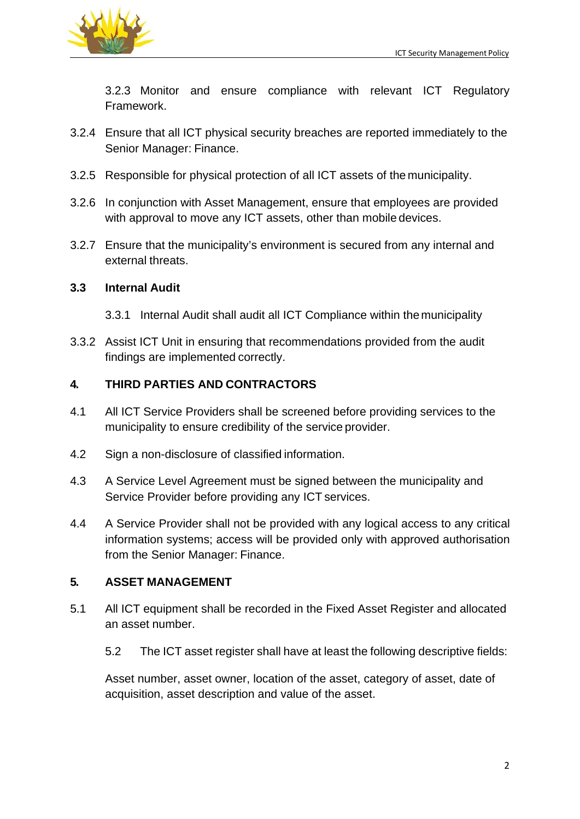

3.2.3 Monitor and ensure compliance with relevant ICT Regulatory Framework.

- 3.2.4 Ensure that all ICT physical security breaches are reported immediately to the Senior Manager: Finance.
- 3.2.5 Responsible for physical protection of all ICT assets of the municipality.
- 3.2.6 In conjunction with Asset Management, ensure that employees are provided with approval to move any ICT assets, other than mobile devices.
- 3.2.7 Ensure that the municipality's environment is secured from any internal and external threats.

## **3.3 Internal Audit**

- 3.3.1 Internal Audit shall audit all ICT Compliance within the municipality
- 3.3.2 Assist ICT Unit in ensuring that recommendations provided from the audit findings are implemented correctly.

## **4. THIRD PARTIES AND CONTRACTORS**

- 4.1 All ICT Service Providers shall be screened before providing services to the municipality to ensure credibility of the service provider.
- 4.2 Sign a non-disclosure of classified information.
- 4.3 A Service Level Agreement must be signed between the municipality and Service Provider before providing any ICT services.
- 4.4 A Service Provider shall not be provided with any logical access to any critical information systems; access will be provided only with approved authorisation from the Senior Manager: Finance.

## **5. ASSET MANAGEMENT**

- 5.1 All ICT equipment shall be recorded in the Fixed Asset Register and allocated an asset number.
	- 5.2 The ICT asset register shall have at least the following descriptive fields:

Asset number, asset owner, location of the asset, category of asset, date of acquisition, asset description and value of the asset.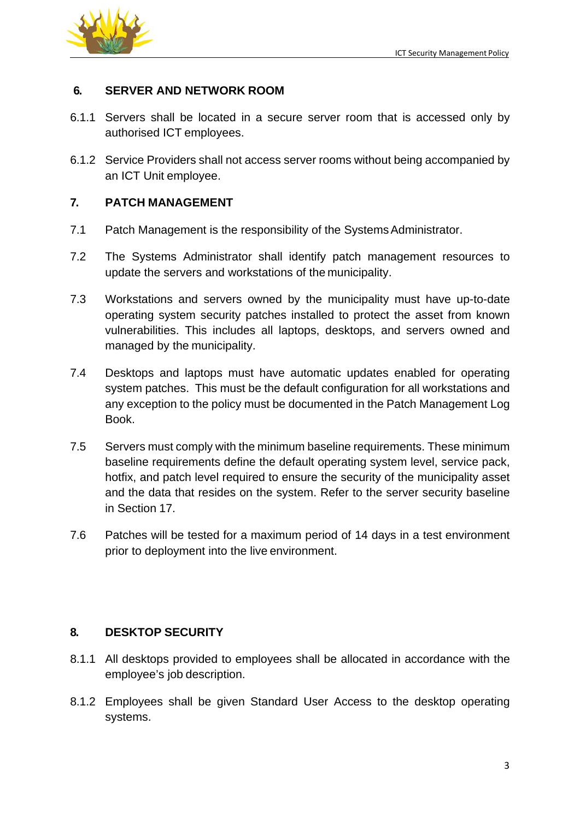

### **6. SERVER AND NETWORK ROOM**

- 6.1.1 Servers shall be located in a secure server room that is accessed only by authorised ICT employees.
- 6.1.2 Service Providers shall not access server rooms without being accompanied by an ICT Unit employee.

#### **7. PATCH MANAGEMENT**

- 7.1 Patch Management is the responsibility of the Systems Administrator.
- 7.2 The Systems Administrator shall identify patch management resources to update the servers and workstations of the municipality.
- 7.3 Workstations and servers owned by the municipality must have up-to-date operating system security patches installed to protect the asset from known vulnerabilities. This includes all laptops, desktops, and servers owned and managed by the municipality.
- 7.4 Desktops and laptops must have automatic updates enabled for operating system patches. This must be the default configuration for all workstations and any exception to the policy must be documented in the Patch Management Log Book.
- 7.5 Servers must comply with the minimum baseline requirements. These minimum baseline requirements define the default operating system level, service pack, hotfix, and patch level required to ensure the security of the municipality asset and the data that resides on the system. Refer to the server security baseline in Section 17.
- 7.6 Patches will be tested for a maximum period of 14 days in a test environment prior to deployment into the live environment.

## **8. DESKTOP SECURITY**

- 8.1.1 All desktops provided to employees shall be allocated in accordance with the employee's job description.
- 8.1.2 Employees shall be given Standard User Access to the desktop operating systems.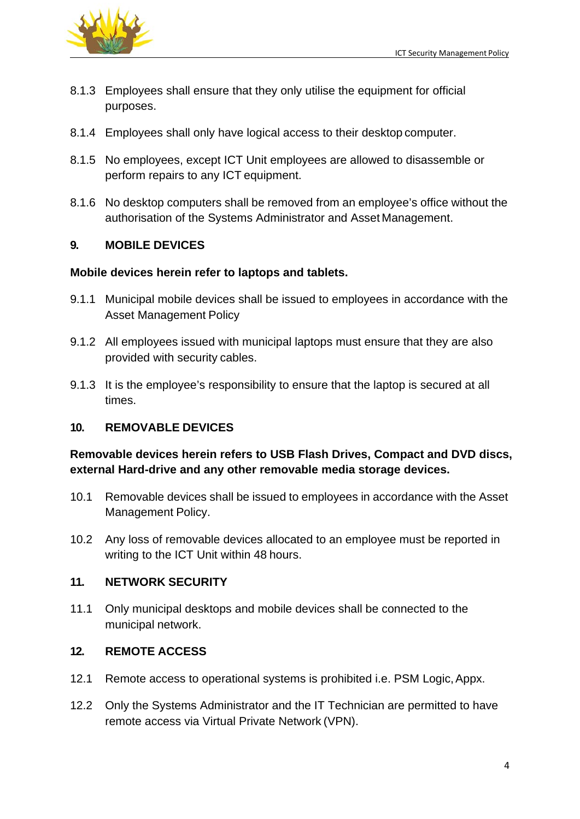

- 8.1.3 Employees shall ensure that they only utilise the equipment for official purposes.
- 8.1.4 Employees shall only have logical access to their desktop computer.
- 8.1.5 No employees, except ICT Unit employees are allowed to disassemble or perform repairs to any ICT equipment.
- 8.1.6 No desktop computers shall be removed from an employee's office without the authorisation of the Systems Administrator and Asset Management.

## **9. MOBILE DEVICES**

#### **Mobile devices herein refer to laptops and tablets.**

- 9.1.1 Municipal mobile devices shall be issued to employees in accordance with the Asset Management Policy
- 9.1.2 All employees issued with municipal laptops must ensure that they are also provided with security cables.
- 9.1.3 It is the employee's responsibility to ensure that the laptop is secured at all times.

## **10. REMOVABLE DEVICES**

## **Removable devices herein refers to USB Flash Drives, Compact and DVD discs, external Hard-drive and any other removable media storage devices.**

- 10.1 Removable devices shall be issued to employees in accordance with the Asset Management Policy.
- 10.2 Any loss of removable devices allocated to an employee must be reported in writing to the ICT Unit within 48 hours.

#### **11. NETWORK SECURITY**

11.1 Only municipal desktops and mobile devices shall be connected to the municipal network.

#### **12. REMOTE ACCESS**

- 12.1 Remote access to operational systems is prohibited i.e. PSM Logic, Appx.
- 12.2 Only the Systems Administrator and the IT Technician are permitted to have remote access via Virtual Private Network (VPN).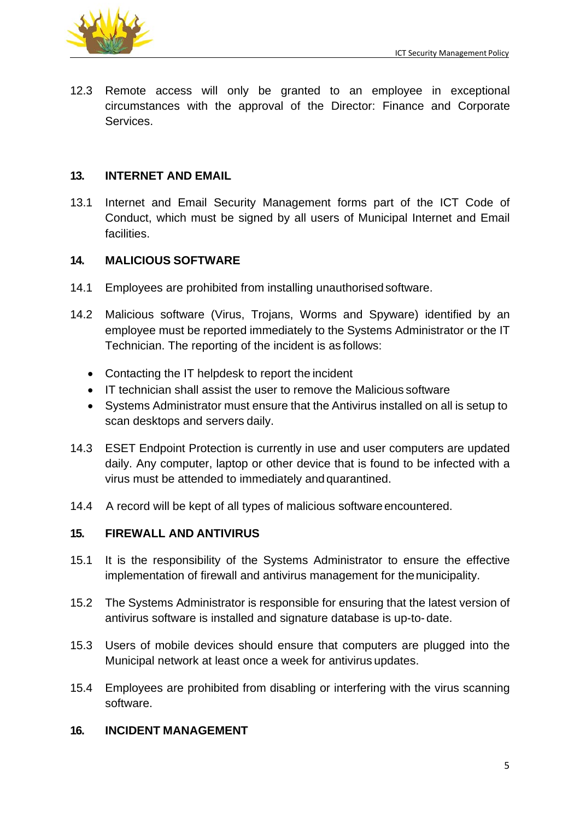

12.3 Remote access will only be granted to an employee in exceptional circumstances with the approval of the Director: Finance and Corporate Services.

## **13. INTERNET AND EMAIL**

13.1 Internet and Email Security Management forms part of the ICT Code of Conduct, which must be signed by all users of Municipal Internet and Email facilities.

## **14. MALICIOUS SOFTWARE**

- 14.1 Employees are prohibited from installing unauthorised software.
- 14.2 Malicious software (Virus, Trojans, Worms and Spyware) identified by an employee must be reported immediately to the Systems Administrator or the IT Technician. The reporting of the incident is as follows:
	- Contacting the IT helpdesk to report the incident
	- IT technician shall assist the user to remove the Malicious software
	- Systems Administrator must ensure that the Antivirus installed on all is setup to scan desktops and servers daily.
- 14.3 ESET Endpoint Protection is currently in use and user computers are updated daily. Any computer, laptop or other device that is found to be infected with a virus must be attended to immediately and quarantined.
- 14.4 A record will be kept of all types of malicious software encountered.

## **15. FIREWALL AND ANTIVIRUS**

- 15.1 It is the responsibility of the Systems Administrator to ensure the effective implementation of firewall and antivirus management for themunicipality.
- 15.2 The Systems Administrator is responsible for ensuring that the latest version of antivirus software is installed and signature database is up-to- date.
- 15.3 Users of mobile devices should ensure that computers are plugged into the Municipal network at least once a week for antivirus updates.
- 15.4 Employees are prohibited from disabling or interfering with the virus scanning software.

## **16. INCIDENT MANAGEMENT**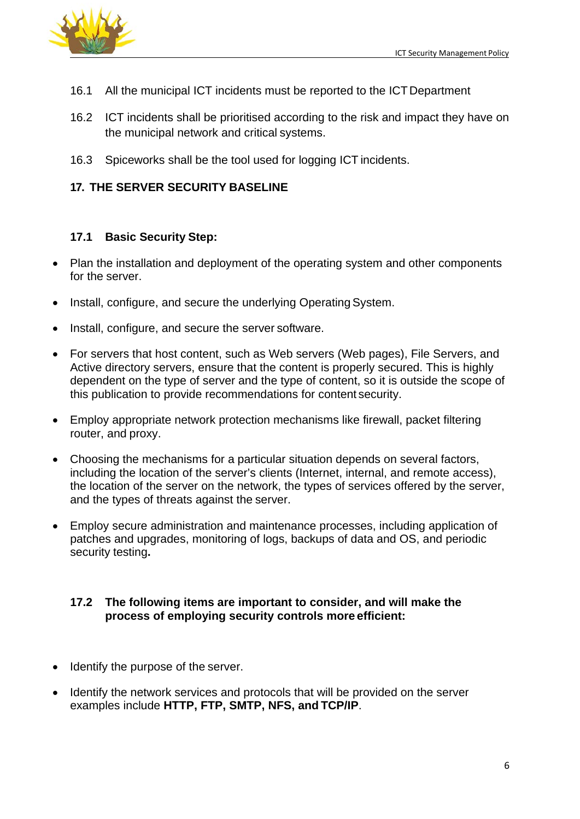

- 16.1 All the municipal ICT incidents must be reported to the ICT Department
- 16.2 ICT incidents shall be prioritised according to the risk and impact they have on the municipal network and critical systems.
- 16.3 Spiceworks shall be the tool used for logging ICT incidents.

## **17. THE SERVER SECURITY BASELINE**

#### **17.1 Basic Security Step:**

- Plan the installation and deployment of the operating system and other components for the server.
- Install, configure, and secure the underlying Operating System.
- Install, configure, and secure the server software.
- For servers that host content, such as Web servers (Web pages), File Servers, and Active directory servers, ensure that the content is properly secured. This is highly dependent on the type of server and the type of content, so it is outside the scope of this publication to provide recommendations for content security.
- Employ appropriate network protection mechanisms like firewall, packet filtering router, and proxy.
- Choosing the mechanisms for a particular situation depends on several factors, including the location of the server's clients (Internet, internal, and remote access), the location of the server on the network, the types of services offered by the server, and the types of threats against the server.
- Employ secure administration and maintenance processes, including application of patches and upgrades, monitoring of logs, backups of data and OS, and periodic security testing**.**

#### **17.2 The following items are important to consider, and will make the process of employing security controls more efficient:**

- Identify the purpose of the server.
- Identify the network services and protocols that will be provided on the server examples include **HTTP, FTP, SMTP, NFS, and TCP/IP**.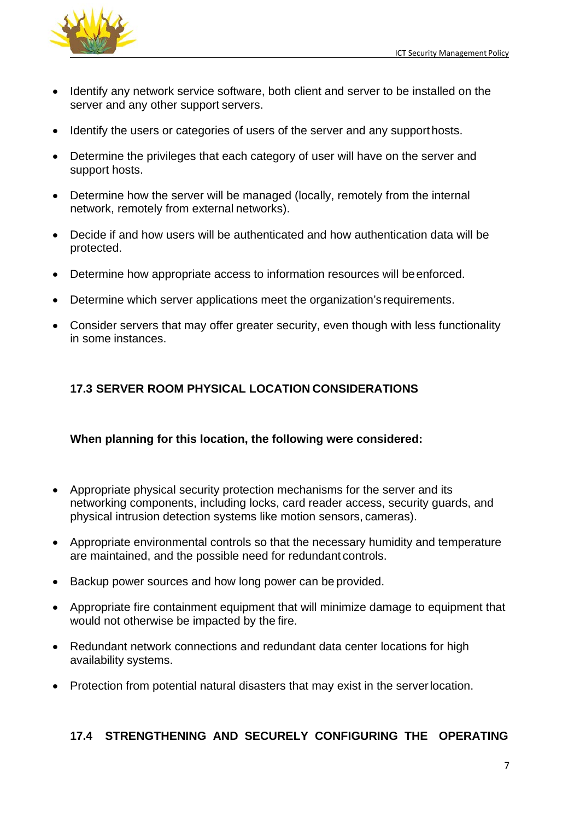

- Identify any network service software, both client and server to be installed on the server and any other support servers.
- Identify the users or categories of users of the server and any support hosts.
- Determine the privileges that each category of user will have on the server and support hosts.
- Determine how the server will be managed (locally, remotely from the internal network, remotely from external networks).
- Decide if and how users will be authenticated and how authentication data will be protected.
- Determine how appropriate access to information resources will be enforced.
- Determine which server applications meet the organization's requirements.
- Consider servers that may offer greater security, even though with less functionality in some instances.

## **17.3 SERVER ROOM PHYSICAL LOCATION CONSIDERATIONS**

## **When planning for this location, the following were considered:**

- Appropriate physical security protection mechanisms for the server and its networking components, including locks, card reader access, security guards, and physical intrusion detection systems like motion sensors, cameras).
- Appropriate environmental controls so that the necessary humidity and temperature are maintained, and the possible need for redundant controls.
- Backup power sources and how long power can be provided.
- Appropriate fire containment equipment that will minimize damage to equipment that would not otherwise be impacted by the fire.
- Redundant network connections and redundant data center locations for high availability systems.
- Protection from potential natural disasters that may exist in the serverlocation.

## **17.4 STRENGTHENING AND SECURELY CONFIGURING THE OPERATING**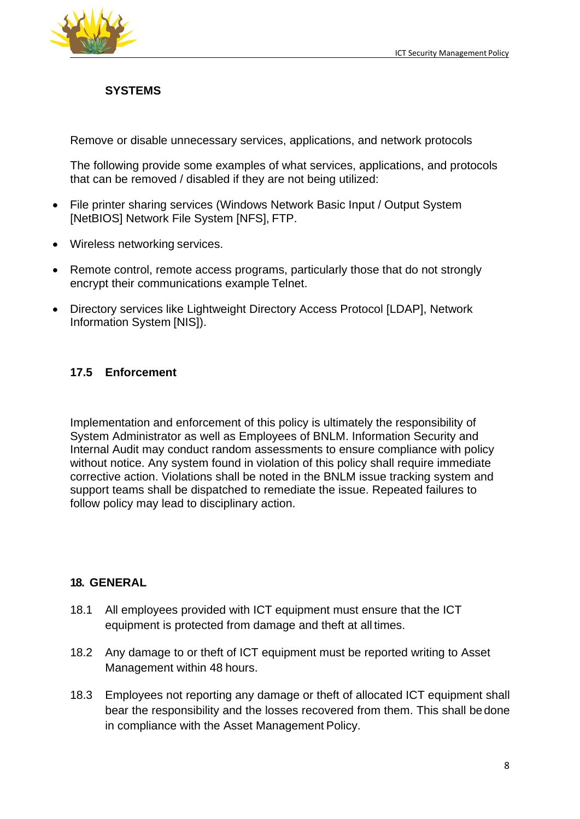

## **SYSTEMS**

Remove or disable unnecessary services, applications, and network protocols

The following provide some examples of what services, applications, and protocols that can be removed / disabled if they are not being utilized:

- File printer sharing services (Windows Network Basic Input / Output System [NetBIOS] Network File System [NFS], FTP.
- Wireless networking services.
- Remote control, remote access programs, particularly those that do not strongly encrypt their communications example Telnet.
- Directory services like Lightweight Directory Access Protocol [LDAP], Network Information System [NIS]).

## **17.5 Enforcement**

Implementation and enforcement of this policy is ultimately the responsibility of System Administrator as well as Employees of BNLM. Information Security and Internal Audit may conduct random assessments to ensure compliance with policy without notice. Any system found in violation of this policy shall require immediate corrective action. Violations shall be noted in the BNLM issue tracking system and support teams shall be dispatched to remediate the issue. Repeated failures to follow policy may lead to disciplinary action.

## **18. GENERAL**

- 18.1 All employees provided with ICT equipment must ensure that the ICT equipment is protected from damage and theft at all times.
- 18.2 Any damage to or theft of ICT equipment must be reported writing to Asset Management within 48 hours.
- 18.3 Employees not reporting any damage or theft of allocated ICT equipment shall bear the responsibility and the losses recovered from them. This shall bedone in compliance with the Asset Management Policy.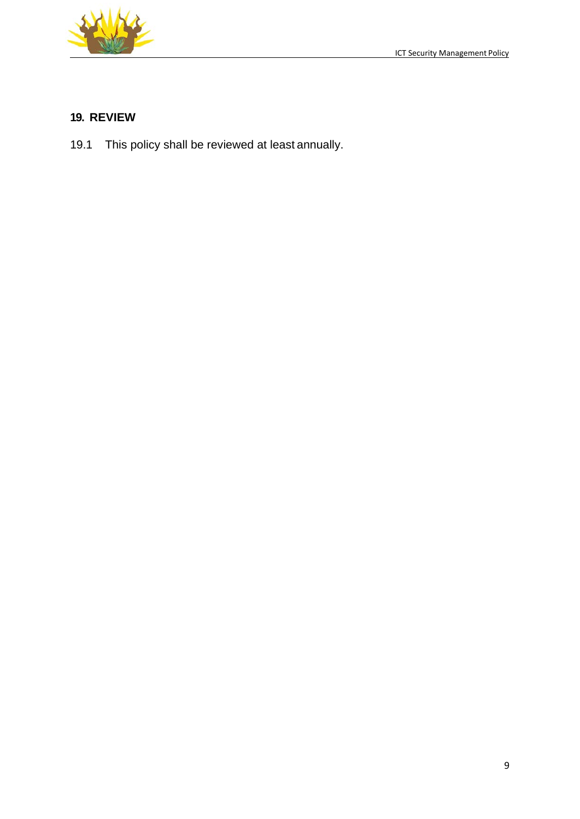

# **19. REVIEW**

19.1 This policy shall be reviewed at least annually.